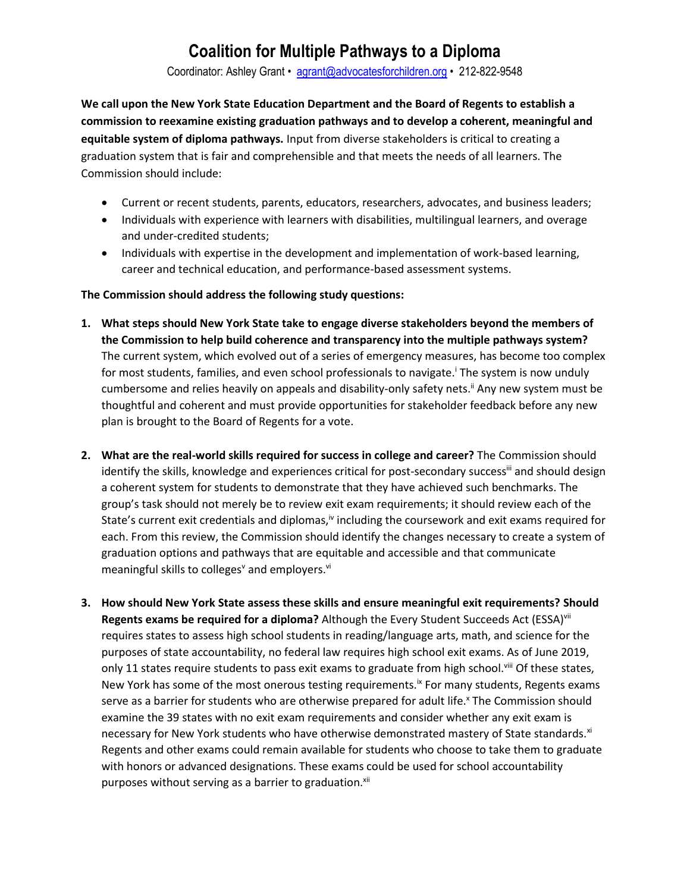Coordinator: Ashley Grant • [agrant@advocatesforchildren.org](mailto:agrant@advocatesforchildren.org) • 212-822-9548

**We call upon the New York State Education Department and the Board of Regents to establish a commission to reexamine existing graduation pathways and to develop a coherent, meaningful and equitable system of diploma pathways.** Input from diverse stakeholders is critical to creating a graduation system that is fair and comprehensible and that meets the needs of all learners. The Commission should include:

- Current or recent students, parents, educators, researchers, advocates, and business leaders;
- Individuals with experience with learners with disabilities, multilingual learners, and overage and under-credited students;
- Individuals with expertise in the development and implementation of work-based learning, career and technical education, and performance-based assessment systems.

### **The Commission should address the following study questions:**

- **1. What steps should New York State take to engage diverse stakeholders beyond the members of the Commission to help build coherence and transparency into the multiple pathways system?** The current system, which evolved out of a series of emergency measures, has become too complex for most students, families, and even school professionals to navigate.<sup>T</sup> he system is now unduly cumbersome and relies heavily on appeals and disability-only safety nets.<sup>ii</sup> Any new system must be thoughtful and coherent and must provide opportunities for stakeholder feedback before any new plan is brought to the Board of Regents for a vote.
- **2. What are the real-world skills required for success in college and career?** The Commission should identify the skills, knowledge and experiences critical for post-secondary success<sup>iii</sup> and should design a coherent system for students to demonstrate that they have achieved such benchmarks. The group's task should not merely be to review exit exam requirements; it should review each of the State's current exit credentials and diplomas, $\dot{v}$  including the coursework and exit exams required for each. From this review, the Commission should identify the changes necessary to create a system of graduation options and pathways that are equitable and accessible and that communicate meaningful skills to colleges<sup>v</sup> and employers.<sup>vi</sup>
- **3. How should New York State assess these skills and ensure meaningful exit requirements? Should**  Regents exams be required for a diploma? Although the Every Student Succeeds Act (ESSA)<sup>vii</sup> requires states to assess high school students in reading/language arts, math, and science for the purposes of state accountability, no federal law requires high school exit exams. As of June 2019, only 11 states require students to pass exit exams to graduate from high school.<sup>viii</sup> Of these states, New York has some of the most onerous testing requirements.<sup>ix</sup> For many students, Regents exams serve as a barrier for students who are otherwise prepared for adult life.<sup>x</sup> The Commission should examine the 39 states with no exit exam requirements and consider whether any exit exam is necessary for New York students who have otherwise demonstrated mastery of State standards.<sup>xi</sup> Regents and other exams could remain available for students who choose to take them to graduate with honors or advanced designations. These exams could be used for school accountability purposes without serving as a barrier to graduation.<sup>xii</sup>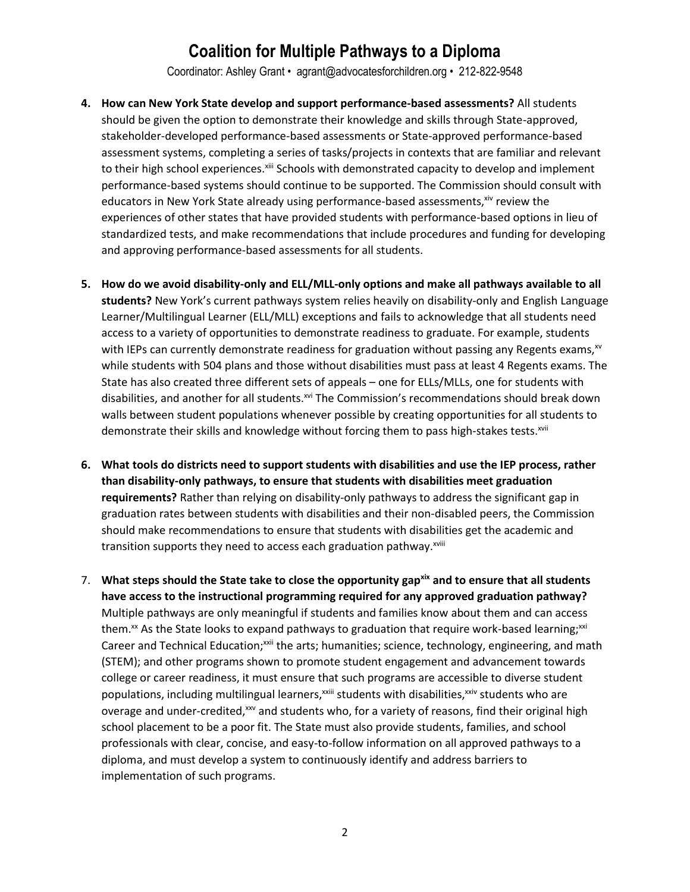Coordinator: Ashley Grant • agrant@advocatesforchildren.org • 212-822-9548

- **4. How can New York State develop and support performance-based assessments?** All students should be given the option to demonstrate their knowledge and skills through State-approved, stakeholder-developed performance-based assessments or State-approved performance-based assessment systems, completing a series of tasks/projects in contexts that are familiar and relevant to their high school experiences.<sup>xiii</sup> Schools with demonstrated capacity to develop and implement performance-based systems should continue to be supported. The Commission should consult with educators in New York State already using performance-based assessments, xiv review the experiences of other states that have provided students with performance-based options in lieu of standardized tests, and make recommendations that include procedures and funding for developing and approving performance-based assessments for all students.
- **5. How do we avoid disability-only and ELL/MLL-only options and make all pathways available to all students?** New York's current pathways system relies heavily on disability-only and English Language Learner/Multilingual Learner (ELL/MLL) exceptions and fails to acknowledge that all students need access to a variety of opportunities to demonstrate readiness to graduate. For example, students with IEPs can currently demonstrate readiness for graduation without passing any Regents exams, $x<sup>w</sup>$ while students with 504 plans and those without disabilities must pass at least 4 Regents exams. The State has also created three different sets of appeals – one for ELLs/MLLs, one for students with disabilities, and another for all students.<sup>xvi</sup> The Commission's recommendations should break down walls between student populations whenever possible by creating opportunities for all students to demonstrate their skills and knowledge without forcing them to pass high-stakes tests.<sup>xvii</sup>
- **6. What tools do districts need to support students with disabilities and use the IEP process, rather than disability-only pathways, to ensure that students with disabilities meet graduation requirements?** Rather than relying on disability-only pathways to address the significant gap in graduation rates between students with disabilities and their non-disabled peers, the Commission should make recommendations to ensure that students with disabilities get the academic and transition supports they need to access each graduation pathway.<sup>xviii</sup>
- 7. **What steps should the State take to close the opportunity gapxix and to ensure that all students have access to the instructional programming required for any approved graduation pathway?**  Multiple pathways are only meaningful if students and families know about them and can access them. $x^x$  As the State looks to expand pathways to graduation that require work-based learning; $x^{xxi}$ Career and Technical Education;<sup>xxii</sup> the arts; humanities; science, technology, engineering, and math (STEM); and other programs shown to promote student engagement and advancement towards college or career readiness, it must ensure that such programs are accessible to diverse student populations, including multilingual learners,<sup>xxiii</sup> students with disabilities,<sup>xxiv</sup> students who are overage and under-credited, $x^w$  and students who, for a variety of reasons, find their original high school placement to be a poor fit. The State must also provide students, families, and school professionals with clear, concise, and easy-to-follow information on all approved pathways to a diploma, and must develop a system to continuously identify and address barriers to implementation of such programs.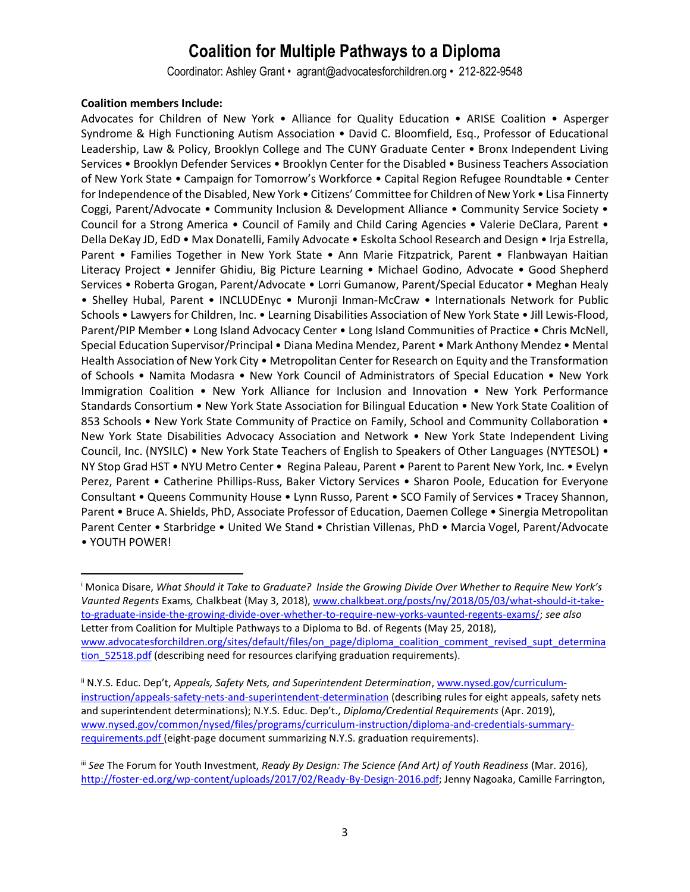Coordinator: Ashley Grant • agrant@advocatesforchildren.org • 212-822-9548

#### **Coalition members Include:**

l

Advocates for Children of New York • Alliance for Quality Education • ARISE Coalition • Asperger Syndrome & High Functioning Autism Association • David C. Bloomfield, Esq., Professor of Educational Leadership, Law & Policy, Brooklyn College and The CUNY Graduate Center • Bronx Independent Living Services • Brooklyn Defender Services • Brooklyn Center for the Disabled • Business Teachers Association of New York State • Campaign for Tomorrow's Workforce • Capital Region Refugee Roundtable • Center for Independence of the Disabled, New York • Citizens' Committee for Children of New York • Lisa Finnerty Coggi, Parent/Advocate • Community Inclusion & Development Alliance • Community Service Society • Council for a Strong America • Council of Family and Child Caring Agencies • Valerie DeClara, Parent • Della DeKay JD, EdD • Max Donatelli, Family Advocate • Eskolta School Research and Design • Irja Estrella, Parent • Families Together in New York State • Ann Marie Fitzpatrick, Parent • Flanbwayan Haitian Literacy Project • Jennifer Ghidiu, Big Picture Learning • Michael Godino, Advocate • Good Shepherd Services • Roberta Grogan, Parent/Advocate • Lorri Gumanow, Parent/Special Educator • Meghan Healy • Shelley Hubal, Parent • INCLUDEnyc • Muronji Inman-McCraw • Internationals Network for Public Schools • Lawyers for Children, Inc. • Learning Disabilities Association of New York State • Jill Lewis-Flood, Parent/PIP Member • Long Island Advocacy Center • Long Island Communities of Practice • Chris McNell, Special Education Supervisor/Principal • Diana Medina Mendez, Parent • Mark Anthony Mendez • Mental Health Association of New York City • Metropolitan Center for Research on Equity and the Transformation of Schools • Namita Modasra • New York Council of Administrators of Special Education • New York Immigration Coalition • New York Alliance for Inclusion and Innovation • New York Performance Standards Consortium • New York State Association for Bilingual Education • New York State Coalition of 853 Schools • New York State Community of Practice on Family, School and Community Collaboration • New York State Disabilities Advocacy Association and Network • New York State Independent Living Council, Inc. (NYSILC) • New York State Teachers of English to Speakers of Other Languages (NYTESOL) • NY Stop Grad HST • NYU Metro Center • Regina Paleau, Parent • Parent to Parent New York, Inc. • Evelyn Perez, Parent • Catherine Phillips-Russ, Baker Victory Services • Sharon Poole, Education for Everyone Consultant • Queens Community House • Lynn Russo, Parent • SCO Family of Services • Tracey Shannon, Parent • Bruce A. Shields, PhD, Associate Professor of Education, Daemen College • Sinergia Metropolitan Parent Center • Starbridge • United We Stand • Christian Villenas, PhD • Marcia Vogel, Parent/Advocate • YOUTH POWER!

<sup>i</sup> Monica Disare, *What Should it Take to Graduate? Inside the Growing Divide Over Whether to Require New York's Vaunted Regents* Exams*,* Chalkbeat (May 3, 2018), [www.chalkbeat.org/posts/ny/2018/05/03/what-should-it-take](http://www.chalkbeat.org/posts/ny/2018/05/03/what-should-it-take-to-graduate-inside-the-growing-divide-over-whether-to-require-new-yorks-vaunted-regents-exams/)[to-graduate-inside-the-growing-divide-over-whether-to-require-new-yorks-vaunted-regents-exams/;](http://www.chalkbeat.org/posts/ny/2018/05/03/what-should-it-take-to-graduate-inside-the-growing-divide-over-whether-to-require-new-yorks-vaunted-regents-exams/) *see also* Letter from Coalition for Multiple Pathways to a Diploma to Bd. of Regents (May 25, 2018), [www.advocatesforchildren.org/sites/default/files/on\\_page/diploma\\_coalition\\_comment\\_revised\\_supt\\_determina](http://www.advocatesforchildren.org/sites/default/files/on_page/diploma_coalition_comment_revised_supt_determination_52518.pdf) tion 52518.pdf (describing need for resources clarifying graduation requirements).

ii N.Y.S. Educ. Dep't, *Appeals, Safety Nets, and Superintendent Determination*, [www.nysed.gov/curriculum](http://www.nysed.gov/curriculum-instruction/appeals-safety-nets-and-superintendent-determination)[instruction/appeals-safety-nets-and-superintendent-determination](http://www.nysed.gov/curriculum-instruction/appeals-safety-nets-and-superintendent-determination) (describing rules for eight appeals, safety nets and superintendent determinations); N.Y.S. Educ. Dep't., *Diploma/Credential Requirements* (Apr. 2019), [www.nysed.gov/common/nysed/files/programs/curriculum-instruction/diploma-and-credentials-summary](http://www.nysed.gov/common/nysed/files/programs/curriculum-instruction/diploma-and-credentials-summary-requirements.pdf)[requirements.pdf](http://www.nysed.gov/common/nysed/files/programs/curriculum-instruction/diploma-and-credentials-summary-requirements.pdf) (eight-page document summarizing N.Y.S. graduation requirements).

iii *See* The Forum for Youth Investment, *Ready By Design: The Science (And Art) of Youth Readiness* (Mar. 2016), [http://foster-ed.org/wp-content/uploads/2017/02/Ready-By-Design-2016.pdf;](http://foster-ed.org/wp-content/uploads/2017/02/Ready-By-Design-2016.pdf) Jenny Nagoaka, Camille Farrington,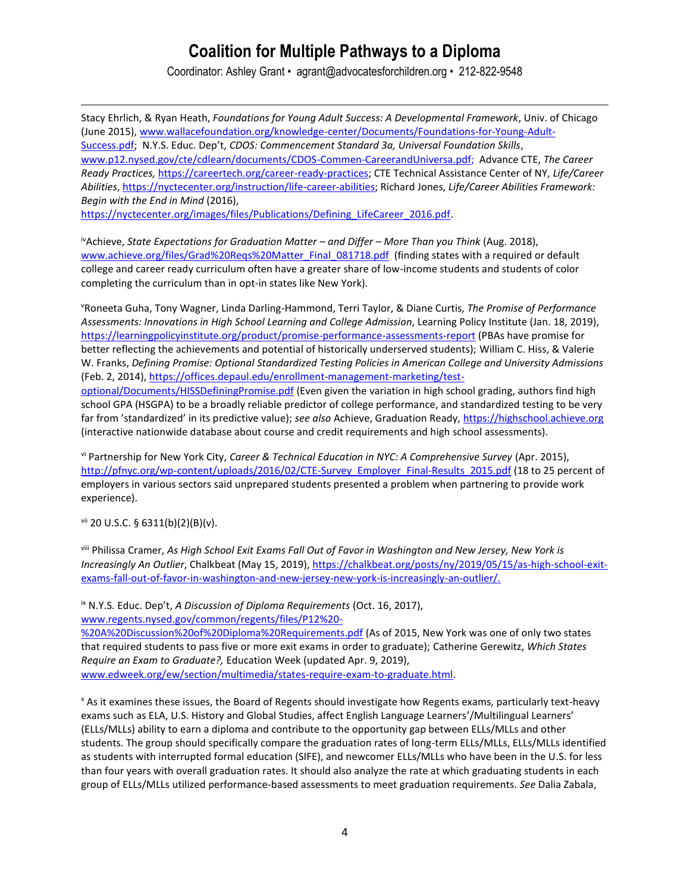Coordinator: Ashley Grant • agrant@advocatesforchildren.org • 212-822-9548

Stacy Ehrlich, & Ryan Heath, *Foundations for Young Adult Success: A Developmental Framework*, Univ. of Chicago (June 2015), [www.wallacefoundation.org/knowledge-center/Documents/Foundations-for-Young-Adult-](https://www.wallacefoundation.org/knowledge-center/Documents/Foundations-for-Young-Adult-Success.pdf)[Success.pdf;](https://www.wallacefoundation.org/knowledge-center/Documents/Foundations-for-Young-Adult-Success.pdf) N.Y.S. Educ. Dep't, *CDOS: Commencement Standard 3a, Universal Foundation Skills*, [www.p12.nysed.gov/cte/cdlearn/documents/CDOS-Commen-CareerandUniversa.pdf;](http://www.p12.nysed.gov/cte/cdlearn/documents/CDOS-Commen-CareerandUniversa.pdf) Advance CTE, *The Career Ready Practices,* [https://careertech.org/career-ready-practices;](https://careertech.org/career-ready-practices) CTE Technical Assistance Center of NY, *Life/Career Abilities*, [https://nyctecenter.org/instruction/life-career-abilities;](https://nyctecenter.org/instruction/life-career-abilities?highlight=WyJsaWZlIiwibGlmZSdzIiwiY2FyZWVyIiwiYWJpbGl0aWVzIiwibGlmZSBjYXJlZXIiLCJsaWZlIGNhcmVlciBhYmlsaXRpZXMiLCJjYXJlZXIgYWJpbGl0aWVzIl0) Richard Jones, *Life/Career Abilities Framework: Begin with the End in Mind* (2016),

[https://nyctecenter.org/images/files/Publications/Defining\\_LifeCareer\\_2016.pdf.](https://nyctecenter.org/images/files/Publications/Defining_LifeCareer_2016.pdf)

ivAchieve, *State Expectations for Graduation Matter – and Differ – More Than you Think* (Aug. 2018), [www.achieve.org/files/Grad%20Reqs%20Matter\\_Final\\_081718.pdf](http://www.achieve.org/files/Grad%20Reqs%20Matter_Final_081718.pdf) (finding states with a required or default college and career ready curriculum often have a greater share of low-income students and students of color completing the curriculum than in opt-in states like New York).

<sup>v</sup>Roneeta Guha, Tony Wagner, Linda Darling-Hammond, Terri Taylor, & Diane Curtis, *The Promise of Performance Assessments: Innovations in High School Learning and College Admission*, Learning Policy Institute (Jan. 18, 2019), <https://learningpolicyinstitute.org/product/promise-performance-assessments-report> (PBAs have promise for better reflecting the achievements and potential of historically underserved students); William C. Hiss, & Valerie W. Franks, *Defining Promise: Optional Standardized Testing Policies in American College and University Admissions* (Feb. 2, 2014)[, https://offices.depaul.edu/enrollment-management-marketing/test-](https://offices.depaul.edu/enrollment-management-marketing/test-optional/Documents/HISSDefiningPromise.pdf)

[optional/Documents/HISSDefiningPromise.pdf](https://offices.depaul.edu/enrollment-management-marketing/test-optional/Documents/HISSDefiningPromise.pdf) (Even given the variation in high school grading, authors find high school GPA (HSGPA) to be a broadly reliable predictor of college performance, and standardized testing to be very far from 'standardized' in its predictive value); *see also* Achieve, Graduation Ready, [https://highschool.achieve.org](https://highschool.achieve.org/) (interactive nationwide database about course and credit requirements and high school assessments).

vi Partnership for New York City, *Career & Technical Education in NYC: A Comprehensive Survey* (Apr. 2015), [http://pfnyc.org/wp-content/uploads/2016/02/CTE-Survey\\_Employer\\_Final-Results\\_2015.pdf](http://pfnyc.org/wp-content/uploads/2016/02/CTE-Survey_Employer_Final-Results_2015.pdf) (18 to 25 percent of employers in various sectors said unprepared students presented a problem when partnering to provide work experience).

vii 20 U.S.C. § 6311(b)(2)(B)(v).

 $\overline{a}$ 

viii Philissa Cramer, *As High School Exit Exams Fall Out of Favor in Washington and New Jersey, New York is Increasingly An Outlier*, Chalkbeat (May 15, 2019), [https://chalkbeat.org/posts/ny/2019/05/15/as-high-school-exit](https://chalkbeat.org/posts/ny/2019/05/15/as-high-school-exit-exams-fall-out-of-favor-in-washington-and-new-jersey-new-york-is-increasingly-an-outlier/)[exams-fall-out-of-favor-in-washington-and-new-jersey-new-york-is-increasingly-an-outlier/.](https://chalkbeat.org/posts/ny/2019/05/15/as-high-school-exit-exams-fall-out-of-favor-in-washington-and-new-jersey-new-york-is-increasingly-an-outlier/)

ix N.Y.S. Educ. Dep't, *A Discussion of Diploma Requirements* (Oct. 16, 2017),

[www.regents.nysed.gov/common/regents/files/P12%20-](http://www.regents.nysed.gov/common/regents/files/P12%20-%20A%20Discussion%20of%20Diploma%20Requirements.pdf)

[%20A%20Discussion%20of%20Diploma%20Requirements.pdf](http://www.regents.nysed.gov/common/regents/files/P12%20-%20A%20Discussion%20of%20Diploma%20Requirements.pdf) (As of 2015, New York was one of only two states that required students to pass five or more exit exams in order to graduate); Catherine Gerewitz, *Which States Require an Exam to Graduate?,* Education Week (updated Apr. 9, 2019), [www.edweek.org/ew/section/multimedia/states-require-exam-to-graduate.html.](http://www.edweek.org/ew/section/multimedia/states-require-exam-to-graduate.html)

<sup>x</sup> As it examines these issues, the Board of Regents should investigate how Regents exams, particularly text-heavy exams such as ELA, U.S. History and Global Studies, affect English Language Learners'/Multilingual Learners' (ELLs/MLLs) ability to earn a diploma and contribute to the opportunity gap between ELLs/MLLs and other students. The group should specifically compare the graduation rates of long-term ELLs/MLLs, ELLs/MLLs identified as students with interrupted formal education (SIFE), and newcomer ELLs/MLLs who have been in the U.S. for less than four years with overall graduation rates. It should also analyze the rate at which graduating students in each group of ELLs/MLLs utilized performance-based assessments to meet graduation requirements. *See* Dalia Zabala,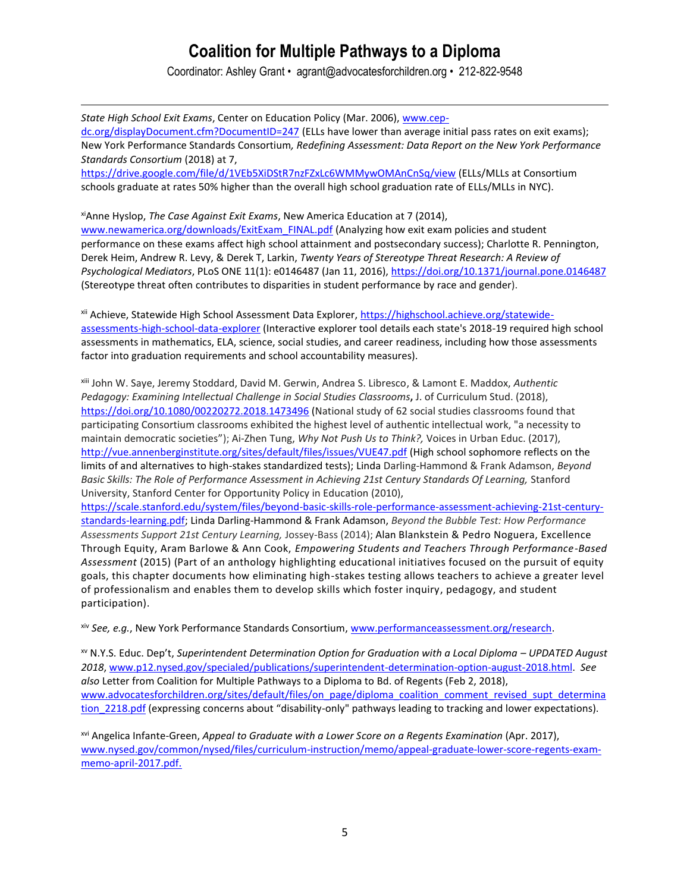Coordinator: Ashley Grant • agrant@advocatesforchildren.org • 212-822-9548

 $\overline{a}$ 

*State High School Exit Exams*, Center on Education Policy (Mar. 2006), [www.cep](http://www.cep-dc.org/displayDocument.cfm?DocumentID=247)[dc.org/displayDocument.cfm?DocumentID=247](http://www.cep-dc.org/displayDocument.cfm?DocumentID=247) (ELLs have lower than average initial pass rates on exit exams); New York Performance Standards Consortium*, Redefining Assessment: Data Report on the New York Performance Standards Consortium* (2018) at 7, https://drive.google.com/file/d/1VEb5XiDStR7nzFZxLc6WMMywOMAnCnSq/view (ELLs/MLLs at Consortium schools graduate at rates 50% higher than the overall high school graduation rate of ELLs/MLLs in NYC).

xiAnne Hyslop, *The Case Against Exit Exams*, New America Education at 7 (2014), [www.newamerica.org/downloads/ExitExam\\_FINAL.pdf](http://www.newamerica.org/downloads/ExitExam_FINAL.pdf) (Analyzing how exit exam policies and student performance on these exams affect high school attainment and postsecondary success); Charlotte R. Pennington, Derek Heim, Andrew R. Levy, & Derek T, Larkin, *Twenty Years of Stereotype Threat Research: A Review of Psychological Mediators*, PLoS ONE 11(1): e0146487 (Jan 11, 2016),<https://doi.org/10.1371/journal.pone.0146487> (Stereotype threat often contributes to disparities in student performance by race and gender).

xii Achieve, Statewide High School Assessment Data Explorer, [https://highschool.achieve.org/statewide](https://highschool.achieve.org/statewide-assessments-high-school-data-explorer)[assessments-high-school-data-explorer](https://highschool.achieve.org/statewide-assessments-high-school-data-explorer) (Interactive explorer tool details each state's 2018-19 required high school assessments in mathematics, ELA, science, social studies, and career readiness, including how those assessments factor into graduation requirements and school accountability measures).

xiii John W. Saye, Jeremy Stoddard, David M. Gerwin, Andrea S. Libresco, & Lamont E. Maddox, *Authentic Pedagogy: Examining Intellectual Challenge in Social Studies Classrooms***,** J. of Curriculum Stud. (2018), <https://doi.org/10.1080/00220272.2018.1473496> (National study of 62 social studies classrooms found that participating Consortium classrooms exhibited the highest level of authentic intellectual work, "a necessity to maintain democratic societies"); Ai-Zhen Tung, *Why Not Push Us to Think?,* Voices in Urban Educ. (2017), <http://vue.annenberginstitute.org/sites/default/files/issues/VUE47.pdf> (High school sophomore reflects on the limits of and alternatives to high-stakes standardized tests); Linda Darling-Hammond & Frank Adamson, *Beyond Basic Skills: The Role of Performance Assessment in Achieving 21st Century Standards Of Learning,* Stanford University, Stanford Center for Opportunity Policy in Education (2010),

[https://scale.stanford.edu/system/files/beyond-basic-skills-role-performance-assessment-achieving-21st-century](https://scale.stanford.edu/system/files/beyond-basic-skills-role-performance-assessment-achieving-21st-century-standards-learning.pdf)[standards-learning.pdf;](https://scale.stanford.edu/system/files/beyond-basic-skills-role-performance-assessment-achieving-21st-century-standards-learning.pdf) Linda Darling-Hammond & Frank Adamson, *Beyond the Bubble Test: How Performance Assessments Support 21st Century Learning,* Jossey-Bass (2014); Alan Blankstein & Pedro Noguera, Excellence Through Equity, Aram Barlowe & Ann Cook, *Empowering Students and Teachers Through Performance-Based Assessment* (2015) (Part of an anthology highlighting educational initiatives focused on the pursuit of equity goals, this chapter documents how eliminating high-stakes testing allows teachers to achieve a greater level of professionalism and enables them to develop skills which foster inquiry, pedagogy, and student participation).

xiv *See, e.g.*, New York Performance Standards Consortium, www.performanceassessment.org/research.

xv N.Y.S. Educ. Dep't, *Superintendent Determination Option for Graduation with a Local Diploma – UPDATED August 2018*, [www.p12.nysed.gov/specialed/publications/superintendent-determination-option-august-2018.html.](http://www.p12.nysed.gov/specialed/publications/superintendent-determination-option-august-2018.html) *See also* Letter from Coalition for Multiple Pathways to a Diploma to Bd. of Regents (Feb 2, 2018), [www.advocatesforchildren.org/sites/default/files/on\\_page/diploma\\_coalition\\_comment\\_revised\\_supt\\_determina](http://www.advocatesforchildren.org/sites/default/files/on_page/diploma_coalition_comment_revised_supt_determination_2218.pdf) tion 2218.pdf (expressing concerns about "disability-only" pathways leading to tracking and lower expectations).

xvi Angelica Infante-Green, *Appeal to Graduate with a Lower Score on a Regents Examination* (Apr. 2017), [www.nysed.gov/common/nysed/files/curriculum-instruction/memo/appeal-graduate-lower-score-regents-exam](http://www.nysed.gov/common/nysed/files/curriculum-instruction/memo/appeal-graduate-lower-score-regents-exam-memo-april-2017.pdf)[memo-april-2017.pdf.](http://www.nysed.gov/common/nysed/files/curriculum-instruction/memo/appeal-graduate-lower-score-regents-exam-memo-april-2017.pdf)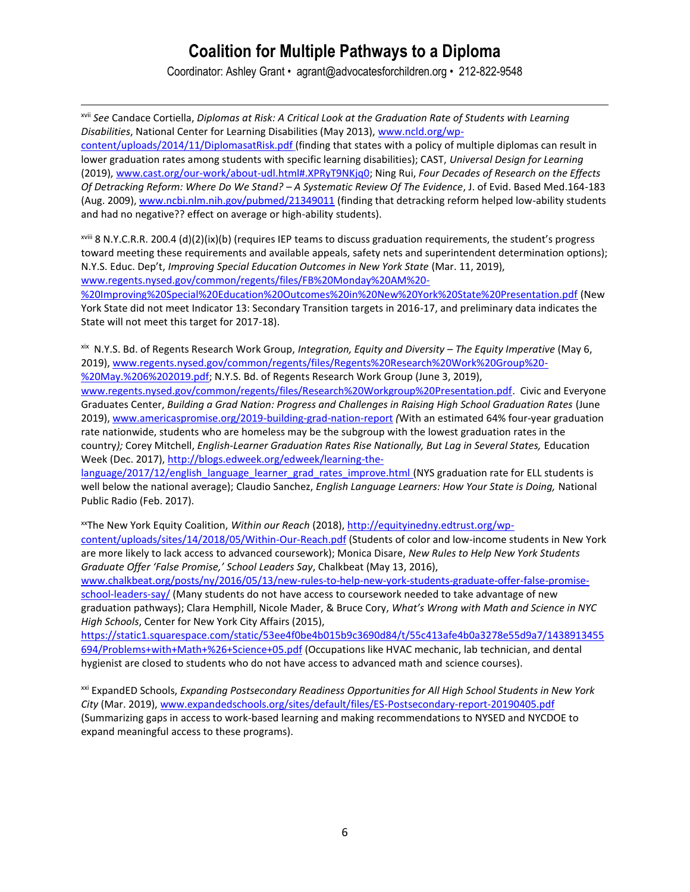Coordinator: Ashley Grant • agrant@advocatesforchildren.org • 212-822-9548

 $\overline{a}$ 

xvii *See* Candace Cortiella, *Diplomas at Risk: A Critical Look at the Graduation Rate of Students with Learning Disabilities*, National Center for Learning Disabilities (May 2013)[, www.ncld.org/wp](http://www.ncld.org/wp-content/uploads/2014/11/DiplomasatRisk.pdf)[content/uploads/2014/11/DiplomasatRisk.pdf](http://www.ncld.org/wp-content/uploads/2014/11/DiplomasatRisk.pdf) (finding that states with a policy of multiple diplomas can result in lower graduation rates among students with specific learning disabilities); CAST, *Universal Design for Learning* (2019), [www.cast.org/our-work/about-udl.html#.XPRyT9NKjq0;](http://www.cast.org/our-work/about-udl.html#.XPRyT9NKjq0) Ning Rui, *Four Decades of Research on the Effects Of Detracking Reform: Where Do We Stand? – A Systematic Review Of The Evidence*, J. of Evid. Based Med.164-183 (Aug. 2009)[, www.ncbi.nlm.nih.gov/pubmed/21349011](http://www.ncbi.nlm.nih.gov/pubmed/21349011) (finding that detracking reform helped low-ability students and had no negative?? effect on average or high-ability students).

 $x^2$ <sup>iii</sup> 8 N.Y.C.R.R. 200.4 (d)(2)(ix)(b) (requires IEP teams to discuss graduation requirements, the student's progress toward meeting these requirements and available appeals, safety nets and superintendent determination options); N.Y.S. Educ. Dep't, *Improving Special Education Outcomes in New York State* (Mar. 11, 2019), [www.regents.nysed.gov/common/regents/files/FB%20Monday%20AM%20-](http://www.regents.nysed.gov/common/regents/files/FB%20Monday%20AM%20-%20Improving%20Special%20Education%20Outcomes%20in%20New%20York%20State%20Presentation.pdf)

[%20Improving%20Special%20Education%20Outcomes%20in%20New%20York%20State%20Presentation.pdf](http://www.regents.nysed.gov/common/regents/files/FB%20Monday%20AM%20-%20Improving%20Special%20Education%20Outcomes%20in%20New%20York%20State%20Presentation.pdf) (New York State did not meet Indicator 13: Secondary Transition targets in 2016-17, and preliminary data indicates the State will not meet this target for 2017-18).

xix N.Y.S. Bd. of Regents Research Work Group, *Integration, Equity and Diversity – The Equity Imperative* (May 6, 2019), [www.regents.nysed.gov/common/regents/files/Regents%20Research%20Work%20Group%20-](http://www.regents.nysed.gov/common/regents/files/Regents%20Research%20Work%20Group%20-%20May.%206%202019.pdf) [%20May.%206%202019.pdf;](http://www.regents.nysed.gov/common/regents/files/Regents%20Research%20Work%20Group%20-%20May.%206%202019.pdf) N.Y.S. Bd. of Regents Research Work Group (June 3, 2019),

[www.regents.nysed.gov/common/regents/files/Research%20Workgroup%20Presentation.pdf.](http://www.regents.nysed.gov/common/regents/files/Research%20Workgroup%20Presentation.pdf) Civic and Everyone Graduates Center, *Building a Grad Nation: Progress and Challenges in Raising High School Graduation Rates* (June 2019), [www.americaspromise.org/2019-building-grad-nation-report](http://www.americaspromise.org/2019-building-grad-nation-report) *(*With an estimated 64% four-year graduation rate nationwide, students who are homeless may be the subgroup with the lowest graduation rates in the country*);* Corey Mitchell, *English-Learner Graduation Rates Rise Nationally, But Lag in Several States,* Education Week (Dec. 2017), [http://blogs.edweek.org/edweek/learning-the-](http://blogs.edweek.org/edweek/learning-the-language/2017/12/english_language_learner_grad_rates_improve.html)

[language/2017/12/english\\_language\\_learner\\_grad\\_rates\\_improve.html](http://blogs.edweek.org/edweek/learning-the-language/2017/12/english_language_learner_grad_rates_improve.html) (NYS graduation rate for ELL students is well below the national average); Claudio Sanchez, *English Language Learners: How Your State is Doing,* National Public Radio (Feb. 2017).

xxThe New York Equity Coalition, *Within our Reach* (2018)[, http://equityinedny.edtrust.org/wp-](http://equityinedny.edtrust.org/wp-content/uploads/sites/14/2018/05/Within-Our-Reach.pdf)

[content/uploads/sites/14/2018/05/Within-Our-Reach.pdf](http://equityinedny.edtrust.org/wp-content/uploads/sites/14/2018/05/Within-Our-Reach.pdf) (Students of color and low-income students in New York are more likely to lack access to advanced coursework); Monica Disare, *New Rules to Help New York Students Graduate Offer 'False Promise,' School Leaders Say*, Chalkbeat (May 13, 2016),

[www.chalkbeat.org/posts/ny/2016/05/13/new-rules-to-help-new-york-students-graduate-offer-false-promise](http://www.chalkbeat.org/posts/ny/2016/05/13/new-rules-to-help-new-york-students-graduate-offer-false-promise-school-leaders-say/)[school-leaders-say/](http://www.chalkbeat.org/posts/ny/2016/05/13/new-rules-to-help-new-york-students-graduate-offer-false-promise-school-leaders-say/) (Many students do not have access to coursework needed to take advantage of new graduation pathways); Clara Hemphill, Nicole Mader, & Bruce Cory, *What's Wrong with Math and Science in NYC High Schools*, Center for New York City Affairs (2015),

[https://static1.squarespace.com/static/53ee4f0be4b015b9c3690d84/t/55c413afe4b0a3278e55d9a7/1438913455](https://static1.squarespace.com/static/53ee4f0be4b015b9c3690d84/t/55c413afe4b0a3278e55d9a7/1438913455694/Problems+with+Math+%26+Science+05.pdf) [694/Problems+with+Math+%26+Science+05.pdf](https://static1.squarespace.com/static/53ee4f0be4b015b9c3690d84/t/55c413afe4b0a3278e55d9a7/1438913455694/Problems+with+Math+%26+Science+05.pdf) (Occupations like HVAC mechanic, lab technician, and dental hygienist are closed to students who do not have access to advanced math and science courses).

xxi ExpandED Schools, *Expanding Postsecondary Readiness Opportunities for All High School Students in New York City* (Mar. 2019), [www.expandedschools.org/sites/default/files/ES-Postsecondary-report-20190405.pdf](http://www.expandedschools.org/sites/default/files/ES-Postsecondary-report-20190405.pdf) (Summarizing gaps in access to work-based learning and making recommendations to NYSED and NYCDOE to expand meaningful access to these programs).